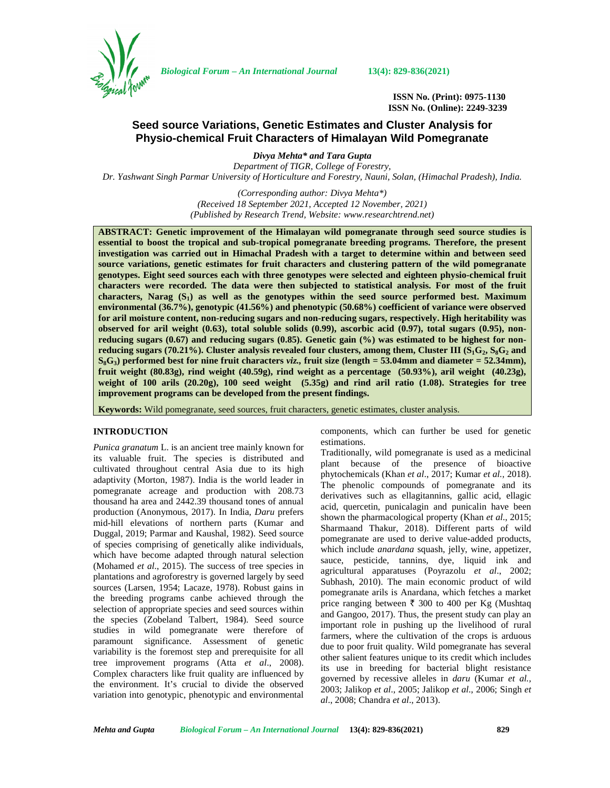

*Biological Forum – An International Journal* **13(4): 829-836(2021)**

**ISSN No. (Print): 0975-1130 ISSN No. (Online): 2249-3239**

# **Seed source Variations, Genetic Estimates and Cluster Analysis for Physio-chemical Fruit Characters of Himalayan Wild Pomegranate**

*Divya Mehta\* and Tara Gupta Department of TIGR, College of Forestry,*

*Dr. Yashwant Singh Parmar University of Horticulture and Forestry, Nauni, Solan, (Himachal Pradesh), India.*

*(Corresponding author: Divya Mehta\*) (Received 18 September 2021, Accepted 12 November, 2021) (Published by Research Trend, Website: [www.researchtrend.net\)](www.researchtrend.net)*

**ABSTRACT: Genetic improvement of the Himalayan wild pomegranate through seed source studies is essential to boost the tropical and sub-tropical pomegranate breeding programs. Therefore, the present investigation was carried out in Himachal Pradesh with a target to determine within and between seed source variations, genetic estimates for fruit characters and clustering pattern of the wild pomegranate genotypes. Eight seed sources each with three genotypes were selected and eighteen physio-chemical fruit characters were recorded. The data were then subjected to statistical analysis. For most of the fruit characters, Narag (S1) as well as the genotypes within the seed source performed best. Maximum environmental (36.7%), genotypic (41.56%) and phenotypic (50.68%) coefficient of variance were observed for aril moisture content, non-reducing sugars and non-reducing sugars, respectively. High heritability was observed for aril weight (0.63), total soluble solids (0.99), ascorbic acid (0.97), total sugars (0.95), non reducing sugars (0.67) and reducing sugars (0.85). Genetic gain (%) was estimated to be highest for non reducing sugars (70.21%). Cluster analysis revealed four clusters, among them, Cluster III (S1G2, S8G<sup>2</sup> and**  $S_8G_3$  performed best for nine fruit characters *viz.*, fruit size (length = 53.04mm and diameter = 52.34mm), **fruit weight (80.83g), rind weight (40.59g), rind weight as a percentage (50.93%), aril weight (40.23g), weight of 100 arils (20.20g), 100 seed weight (5.35g) and rind aril ratio (1.08). Strategies for tree improvement programs can be developed from the present findings.**

**Keywords:** Wild pomegranate, seed sources, fruit characters, genetic estimates, cluster analysis.

#### **INTRODUCTION**

*Punica granatum* L. is an ancient tree mainly known for its valuable fruit. The species is distributed and cultivated throughout central Asia due to its high adaptivity (Morton, 1987). India is the world leader in pomegranate acreage and production with 208.73 thousand ha area and 2442.39 thousand tones of annual production (Anonymous, 2017). In India, *Daru* prefers mid-hill elevations of northern parts (Kumar and Duggal, 2019; Parmar and Kaushal, 1982). Seed source of species comprising of genetically alike individuals, which have become adapted through natural selection (Mohamed *et al*., 2015). The success of tree species in plantations and agroforestry is governed largely by seed sources (Larsen, 1954; Lacaze, 1978). Robust gains in the breeding programs canbe achieved through the selection of appropriate species and seed sources within the species (Zobeland Talbert, 1984). Seed source studies in wild pomegranate were therefore of paramount significance. Assessment of genetic variability is the foremost step and prerequisite for all tree improvement programs (Atta *et al*., 2008). Complex characters like fruit quality are influenced by the environment. It's crucial to divide the observed variation into genotypic, phenotypic and environmental components, which can further be used for genetic estimations.

Traditionally, wild pomegranate is used as a medicinal plant because of the presence of bioactive phytochemicals (Khan *et al*., 2017; Kumar *et al.,* 2018). The phenolic compounds of pomegranate and its derivatives such as ellagitannins, gallic acid, ellagic acid, quercetin, punicalagin and punicalin have been shown the pharmacological property (Khan *et al*., 2015; Sharmaand Thakur, 2018). Different parts of wild pomegranate are used to derive value-added products, which include *anardana* squash, jelly, wine, appetizer, sauce, pesticide, tannins, dye, liquid ink and agricultural apparatuses (Poyrazolu *et al*., 2002; Subhash, 2010). The main economic product of wild pomegranate arils is Anardana, which fetches a market price ranging between  $\bar{\tau}$  300 to 400 per Kg (Mushtaq and Gangoo, 2017). Thus, the present study can play an important role in pushing up the livelihood of rural farmers, where the cultivation of the crops is arduous due to poor fruit quality. Wild pomegranate has several other salient features unique to its credit which includes its use in breeding for bacterial blight resistance governed by recessive alleles in *daru* (Kumar *et al.,* 2003; Jalikop *et al*., 2005; Jalikop *et al*., 2006; Singh *et al*., 2008; Chandra *et al*., 2013).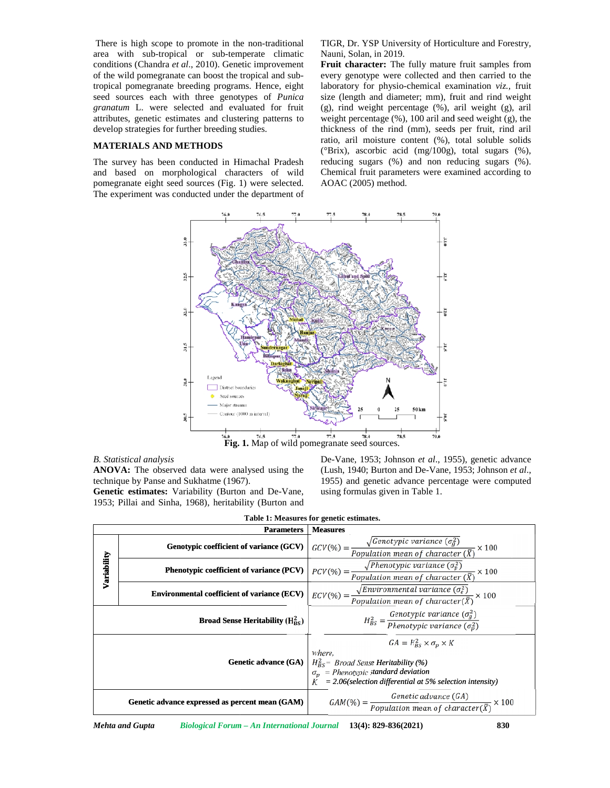#### **MATERIALS AND METHODS METHODS**

TIGR, Dr. YSP University of Horticulture and Forestry, Nauni, Solan, in 2019.



## *B. Statistical analysis*

| <b>Genetic estimates:</b> Variability (Burton and De-Vane, | using |
|------------------------------------------------------------|-------|
| 1953; Pillai and Sinha, 1968), heritability (Burton and    |       |

|             | There is high scope to promote in the non-traditional                                                             | TIGR, Dr. YSP University of Horticulture and Forestry,                                                                         |
|-------------|-------------------------------------------------------------------------------------------------------------------|--------------------------------------------------------------------------------------------------------------------------------|
|             | area with sub-tropical or sub-temperate climatic                                                                  | Nauni, Solan, in 2019.                                                                                                         |
|             | conditions (Chandra et al., 2010). Genetic improvement<br>of the wild pomegranate can boost the tropical and sub- | Fruit character: The fully mature fruit samples from<br>every genotype were collected and then carried to the                  |
|             | tropical pomegranate breeding programs. Hence, eight                                                              | laboratory for physio-chemical examination viz., fruit                                                                         |
|             | seed sources each with three genotypes of Punica                                                                  | size (length and diameter; mm), fruit and rind weight                                                                          |
|             | granatum L. were selected and evaluated for fruit                                                                 | (g), rind weight percentage (%), aril weight (g), aril                                                                         |
|             | attributes, genetic estimates and clustering patterns to                                                          | weight percentage $(\%)$ , 100 aril and seed weight (g), the                                                                   |
|             | develop strategies for further breeding studies.                                                                  | thickness of the rind (mm), seeds per fruit, rind aril                                                                         |
|             | <b>MATERIALS AND METHODS</b>                                                                                      | ratio, aril moisture content (%), total soluble solids<br>(°Brix), ascorbic acid (mg/100g), total sugars (%),                  |
|             | The survey has been conducted in Himachal Pradesh                                                                 | reducing sugars (%) and non reducing sugars (%).                                                                               |
|             | and based on morphological characters of wild                                                                     | Chemical fruit parameters were examined according to                                                                           |
|             | pomegranate eight seed sources (Fig. 1) were selected.<br>The experiment was conducted under the department of    | AOAC (2005) method.                                                                                                            |
|             |                                                                                                                   | 78.5<br>79.0                                                                                                                   |
|             |                                                                                                                   |                                                                                                                                |
|             | 33.0                                                                                                              | a.o                                                                                                                            |
|             |                                                                                                                   |                                                                                                                                |
|             |                                                                                                                   |                                                                                                                                |
|             | 32.5                                                                                                              | χi,<br><b>bul</b> and Spiti                                                                                                    |
|             |                                                                                                                   |                                                                                                                                |
|             |                                                                                                                   |                                                                                                                                |
|             | $\tilde{\mathbf{z}}_1$                                                                                            | îΣ                                                                                                                             |
|             |                                                                                                                   |                                                                                                                                |
|             |                                                                                                                   |                                                                                                                                |
|             | 31.5                                                                                                              | š                                                                                                                              |
|             |                                                                                                                   |                                                                                                                                |
|             |                                                                                                                   |                                                                                                                                |
|             | Legend<br>ã                                                                                                       |                                                                                                                                |
|             | District boundaries<br>Seed sources                                                                               |                                                                                                                                |
|             | Major streams                                                                                                     |                                                                                                                                |
|             | ontour (1000 m interval)<br>š                                                                                     | 50 km<br>25<br>25<br>š                                                                                                         |
|             |                                                                                                                   |                                                                                                                                |
|             | 76.5<br>77.0<br>76.0                                                                                              | 77.5<br>78.0<br>78.5<br>79.0<br>Fig. 1. Map of wild pomegranate seed sources.                                                  |
|             | <b>B.</b> Statistical analysis                                                                                    | De-Vane, 1953; Johnson et al., 1955), genetic advance                                                                          |
|             | ANOVA: The observed data were analysed using the                                                                  | (Lush, 1940; Burton and De-Vane, 1953; Johnson et al.,                                                                         |
|             |                                                                                                                   |                                                                                                                                |
|             | technique by Panse and Sukhatme (1967).                                                                           | 1955) and genetic advance percentage were computed                                                                             |
|             | Genetic estimates: Variability (Burton and De-Vane,                                                               | using formulas given in Table 1.                                                                                               |
|             | 1953; Pillai and Sinha, 1968), heritability (Burton and                                                           |                                                                                                                                |
|             |                                                                                                                   | Table 1: Measures for genetic estimates.                                                                                       |
|             | <b>Parameters</b>                                                                                                 | <b>Measures</b>                                                                                                                |
|             | Genotypic coefficient of variance (GCV)                                                                           | - × 100                                                                                                                        |
|             |                                                                                                                   | $\textit{GCV}(\%) = \frac{\sqrt{\textit{Genotypic variance } (\sigma_g^2)}}{\textit{Population mean of character } (\bar{X})}$ |
|             | Phenotypic coefficient of variance (PCV)                                                                          | $\sqrt{Phenotypic\ variance\ (\sigma_p^2)}$<br>$\cdot \times 100$                                                              |
|             |                                                                                                                   | $PCV(\%) =$<br>Population mean of character $(\bar{X})$                                                                        |
| Variability | <b>Environmental coefficient of variance (ECV)</b>                                                                | $\sqrt{Environmental\ variance(\sigma_e^2)}$<br>$ECV(\%) =$<br>$\times 100$                                                    |
|             |                                                                                                                   | Population mean of character( $\bar{X}$ )                                                                                      |
|             |                                                                                                                   |                                                                                                                                |
|             | <b>Broad Sense Heritability</b> ( $H_{BS}^2$ )                                                                    | $H_{BS}^2 = \frac{Genotypic \ variance (\sigma_g^2)}{Phenotypic \ variance (\sigma_p^2)}$                                      |
|             |                                                                                                                   |                                                                                                                                |
|             |                                                                                                                   | $GA = H_{BS}^2 \times \sigma_p \times K$<br>where,                                                                             |
|             | Genetic advance (GA)                                                                                              | $H_{BS}^2$ Broad Sense Heritability (%)                                                                                        |
|             |                                                                                                                   | $\sigma_{\rm p}$ = Phenotypic standard deviation                                                                               |
|             |                                                                                                                   | $K = 2.06$ (selection differential at 5% selection intensity)                                                                  |
|             | Genetic advance expressed as percent mean (GAM)                                                                   | Genetic advance (GA)<br>$\textit{GAM}(\%) = \frac{}{Population\ mean\ of\ character(\bar{X})}$<br>$\times 100$                 |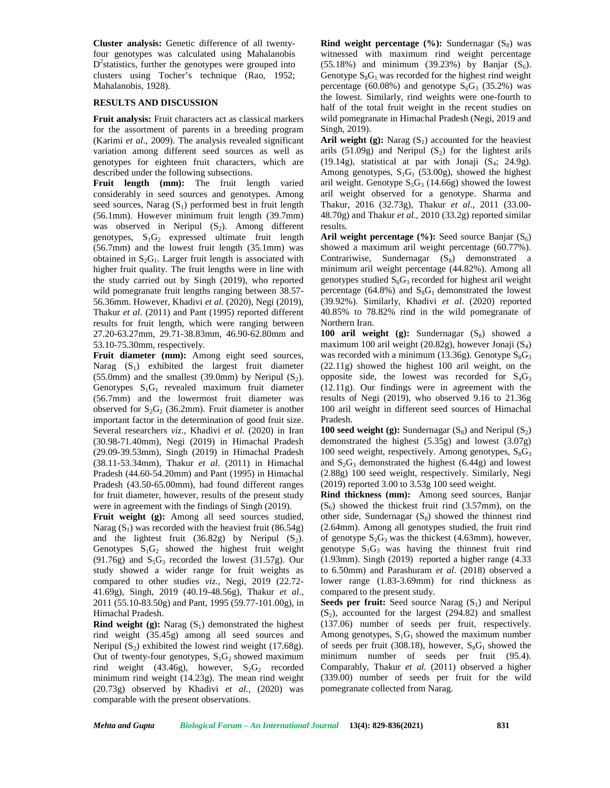**Cluster analysis:** Genetic difference of all twentyfour genotypes was calculated using Mahalanobis D<sup>2</sup> statistics, further the genotypes were grouped into (55 clusters using Tocher's technique (Rao, 1952; Mahalanobis, 1928).

## **RESULTS AND DISCUSSION**

**Fruit analysis:** Fruit characters act as classical markers for the assortment of parents in a breeding program (Karimi *et al*., 2009). The analysis revealed significant variation among different seed sources as well as genotypes for eighteen fruit characters, which are described under the following subsections.

**Fruit length (mm):** The fruit length varied considerably in seed sources and genotypes. Among seed sources, Narag  $(S_1)$  performed best in fruit length (56.1mm). However minimum fruit length (39.7mm) was observed in Neripul  $(S_2)$ . Among different genotypes,  $S_1G_2$  expressed ultimate fruit length (56.7mm) and the lowest fruit length (35.1mm) was obtained in  $S_2G_1$ . Larger fruit length is associated with higher fruit quality. The fruit lengths were in line with the study carried out by Singh (2019), who reported wild pomegranate fruit lengths ranging between 38.57- 56.36mm. However, Khadivi *et al.* (2020), Negi (2019), Thakur *et al*. (2011) and Pant (1995) reported different results for fruit length, which were ranging between 27.20-63.27mm, 29.71-38.83mm, 46.90-62.80mm and 53.10-75.30mm, respectively.

**Fruit diameter (mm):** Among eight seed sources, Narag  $(S_1)$  exhibited the largest fruit diameter (55.0mm) and the smallest (39.0mm) by Neripul  $(S_2)$ . Genotypes  $S_1G_1$  revealed maximum fruit diameter (56.7mm) and the lowermost fruit diameter was observed for  $S_2G_2$  (36.2mm). Fruit diameter is another important factor in the determination of good fruit size. Several researchers *viz*., Khadivi *et al.* (2020) in Iran (30.98-71.40mm), Negi (2019) in Himachal Pradesh (29.09-39.53mm), Singh (2019) in Himachal Pradesh (38.11-53.34mm), Thakur *et al*. (2011) in Himachal Pradesh (44.60-54.20mm) and Pant (1995) in Himachal Pradesh (43.50-65.00mm), had found different ranges for fruit diameter, however, results of the present study were in agreement with the findings of Singh (2019).

**Fruit weight (g):** Among all seed sources studied, Narag  $(S_1)$  was recorded with the heaviest fruit (86.54g) and the lightest fruit  $(36.82g)$  by Neripul  $(S_2)$ . Genotypes  $S_1G_2$  showed the highest fruit weight  $(91.76g)$  and  $S_5G_3$  recorded the lowest  $(31.57g)$ . Our study showed a wider range for fruit weights as compared to other studies *viz.*, Negi, 2019 (22.72- 41.69g), Singh, 2019 (40.19-48.56g), Thakur *et al*., 2011 (55.10-83.50g) and Pant, 1995 (59.77-101.00g), in Himachal Pradesh.

**Rind weight (g):** Narag  $(S_1)$  demonstrated the highest rind weight (35.45g) among all seed sources and Neripul  $(S_2)$  exhibited the lowest rind weight (17.68g). Out of twenty-four genotypes,  $S_1G_2$  showed maximum rind weight (43.46g), however,  $S_2G_2$  recorded minimum rind weight (14.23g). The mean rind weight (20.73g) observed by Khadivi *et al.,* (2020) was comparable with the present observations.

**Rind weight percentage**  $(\%)$ **:** Sundernagar  $(S_8)$  was witnessed with maximum rind weight percentage  $(55.18%)$  and minimum  $(39.23%)$  by Banjar  $(S_6)$ . Genotype  $S_8G_1$  was recorded for the highest rind weight percentage (60.08%) and genotype  $S_6G_3$  (35.2%) was the lowest. Similarly, rind weights were one-fourth to half of the total fruit weight in the recent studies on wild pomegranate in Himachal Pradesh (Negi, 2019 and Singh, 2019).

Aril weight (g): Narag  $(S_1)$  accounted for the heaviest arils (51.09g) and Neripul  $(S_2)$  for the lightest arils (19.14g), statistical at par with Jonaji  $(S_4; 24.9g)$ . Among genotypes,  $S_1G_1$  (53.00g), showed the highest aril weight. Genotype  $S_5G_3$  (14.66g) showed the lowest aril weight observed for a genotype. Sharma and Thakur, 2016 (32.73g), Thakur *et al*., 2011 (33.00- 48.70g) and Thakur *et al.,* 2010 (33.2g) reported similar results.

**Aril weight percentage**  $(\% )$ **:** Seed source Banjar  $(S_6)$ showed a maximum aril weight percentage (60.77%). Contrariwise, Sundernagar  $(S_8)$  demonstrated a minimum aril weight percentage (44.82%). Among all genotypes studied  $S_6G_3$  recorded for highest aril weight percentage (64.8%) and  $S_8G_1$  demonstrated the lowest (39.92%). Similarly, Khadivi *et al*. (2020) reported 40.85% to 78.82% rind in the wild pomegranate of Northern Iran.

**100 aril weight (g):** Sundernagar  $(S_8)$  showed a maximum 100 aril weight (20.82g), however Jonaji  $(S_4)$ was recorded with a minimum (13.36g). Genotype  $S_8G_3$ (22.11g) showed the highest 100 aril weight, on the opposite side, the lowest was recorded for  $S_4G_3$ (12.11g). Our findings were in agreement with the results of Negi (2019), who observed 9.16 to 21.36g 100 aril weight in different seed sources of Himachal Pradesh.

**100 seed weight (g):** Sundernagar  $(S_8)$  and Neripul  $(S_2)$ demonstrated the highest (5.35g) and lowest (3.07g) 100 seed weight, respectively. Among genotypes,  $S_8G_3$ and  $S_2G_3$  demonstrated the highest (6.44g) and lowest (2.88g) 100 seed weight, respectively. Similarly, Negi (2019) reported 3.00 to 3.53g 100 seed weight.

**Rind thickness (mm):** Among seed sources, Banjar  $(S<sub>6</sub>)$  showed the thickest fruit rind (3.57mm), on the other side, Sundernagar  $(S_8)$  showed the thinnest rind (2.64mm). Among all genotypes studied, the fruit rind of genotype  $S_2G_3$  was the thickest (4.63mm), however, genotype  $S_1G_3$  was having the thinnest fruit rind (1.93mm). Singh (2019) reported a higher range (4.33 to 6.50mm) and Parashuram *et al*. (2018) observed a lower range (1.83-3.69mm) for rind thickness as compared to the present study.

**Seeds per fruit:** Seed source Narag  $(S_1)$  and Neripul  $(S_2)$ , accounted for the largest (294.82) and smallest (137.06) number of seeds per fruit, respectively. Among genotypes,  $S_1G_1$  showed the maximum number of seeds per fruit (308.18), however,  $S_8G_1$  showed the minimum number of seeds per fruit (95.4). Comparably, Thakur *et al.* (2011) observed a higher (339.00) number of seeds per fruit for the wild pomegranate collected from Narag.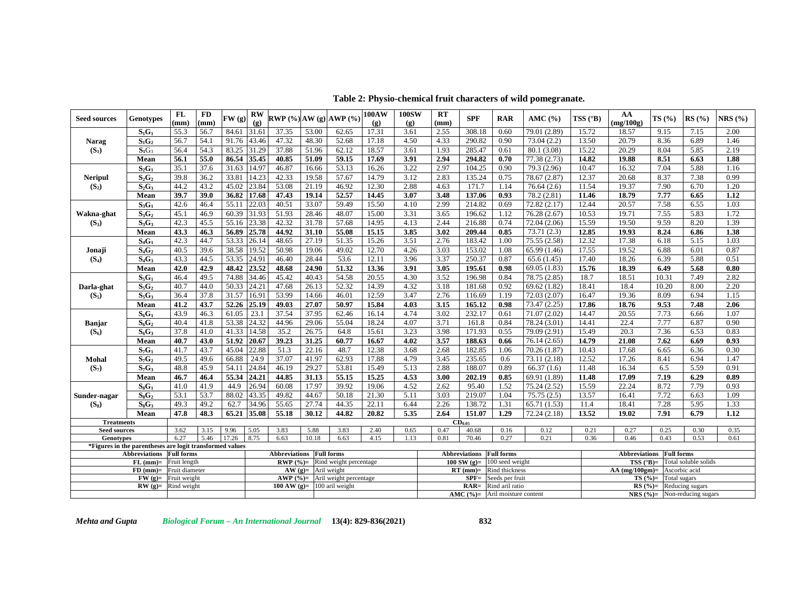**Table 2: Physio-chemical fruit characters of wild pomegranate.**

| <b>Seed sources</b> | Genotypes                                                                        | <b>FL</b>         | FD   | FW(g)       | $\mathbf{R}\mathbf{W}$      |                                 |       | RWP (%) AW (g) AWP (%)                              | 100AW | <b>100SW</b> | <b>RT</b> | <b>SPF</b>                        | <b>RAR</b>        | AMC $(% )$   | TSS $(^{\circ}B)$ | AA                   | TS(%)             | RS(%)                           | NRS(%) |
|---------------------|----------------------------------------------------------------------------------|-------------------|------|-------------|-----------------------------|---------------------------------|-------|-----------------------------------------------------|-------|--------------|-----------|-----------------------------------|-------------------|--------------|-------------------|----------------------|-------------------|---------------------------------|--------|
|                     |                                                                                  | (mm)              | (mm) |             | $\left( \mathbf{g} \right)$ |                                 |       |                                                     | (g)   | (g)          | (mm)      |                                   |                   |              |                   | (mg/100g)            |                   |                                 |        |
|                     | $S_1G_1$                                                                         | 55.3              | 56.7 | 84.61       | 31.61                       | 37.35                           | 53.00 | 62.65                                               | 17.31 | 3.61         | 2.55      | 308.18                            | 0.60              | 79.01 (2.89) | 15.72             | 18.57                | 9.15              | 7.15                            | 2.00   |
| <b>Narag</b>        | $S_1G_2$                                                                         | 56.7              | 54.1 | 91.76       | 43.46                       | 47.32                           | 48.30 | 52.68                                               | 17.18 | 4.50         | 4.33      | 290.82                            | 0.90              | 73.04(2.2)   | 13.50             | 20.79                | 8.36              | 6.89                            | 1.46   |
| $(S_1)$             | $S_1G_3$                                                                         | 56.4              | 54.3 | 83.25       | 31.29                       | 37.88                           | 51.96 | 62.12                                               | 18.57 | 3.61         | 1.93      | 285.47                            | 0.61              | 80.1(3.08)   | 15.22             | 20.29                | 8.04              | 5.85                            | 2.19   |
|                     | Mean                                                                             | 56.1              | 55.0 | 86.54       | 35.45                       | 40.85                           | 51.09 | 59.15                                               | 17.69 | 3.91         | 2.94      | 294.82                            | 0.70              | 77.38 (2.73) | 14.82             | 19.88                | 8.51              | 6.63                            | 1.88   |
|                     | $S_2G_1$                                                                         | 35.1              | 37.6 | 31.63       | 14.97                       | 46.87                           | 16.66 | 53.13                                               | 16.26 | 3.22         | 2.97      | 104.25                            | 0.90              | 79.3(2.96)   | 10.47             | 16.32                | 7.04              | 5.88                            | 1.16   |
| Neripul             | $S_2G_2$                                                                         | 39.8              | 36.2 | 33.81       | 14.23                       | 42.33                           | 19.58 | 57.67                                               | 14.79 | 3.12         | 2.83      | 135.24                            | 0.75              | 78.67 (2.87) | 12.37             | 20.68                | 8.37              | 7.38                            | 0.99   |
| $(S_2)$             | $S_2G_3$                                                                         | 44.2              | 43.2 | 45.02 23.84 |                             | 53.08                           | 21.19 | 46.92                                               | 12.30 | 2.88         | 4.63      | 171.7                             | 1.14              | 76.64(2.6)   | 11.54             | 19.37                | 7.90              | 6.70                            | 1.20   |
|                     | Mean                                                                             | 39.7              | 39.0 | 36.82       | 17.68                       | 47.43                           | 19.14 | 52.57                                               | 14.45 | 3.07         | 3.48      | 137.06                            | 0.93              | 78.2 (2.81)  | 11.46             | 18.79                | 7.77              | 6.65                            | 1.12   |
|                     | $S_3G_1$                                                                         | 42.6              | 46.4 | 55.11       | 22.03                       | 40.51                           | 33.07 | 59.49                                               | 15.50 | 4.10         | 2.99      | 214.82                            | 0.69              | 72.82 (2.17) | 12.44             | 20.57                | 7.58              | 6.55                            | 1.03   |
| Wakna-ghat          | $S_3G_2$                                                                         | 45.1              | 46.9 | 60.39 31.93 |                             | 51.93                           | 28.46 | 48.07                                               | 15.00 | 3.31         | 3.65      | 196.62                            | 1.12              | 76.28 (2.67) | 10.53             | 19.71                | 7.55              | 5.83                            | 1.72   |
| $(S_3)$             | $S_3G_3$                                                                         | 42.3              | 45.5 | 55.16 23.38 |                             | 42.32                           | 31.78 | 57.68                                               | 14.95 | 4.13         | 2.44      | 216.88                            | 0.74              | 72.04 (2.06) | 15.59             | 19.50                | 9.59              | 8.20                            | 1.39   |
|                     | Mean                                                                             | 43.3              | 46.3 | 56.89       | 25.78                       | 44.92                           | 31.10 | 55.08                                               | 15.15 | 3.85         | 3.02      | 209.44                            | 0.85              | 73.71(2.3)   | 12.85             | 19.93                | 8.24              | 6.86                            | 1.38   |
|                     | $S_4G_1$                                                                         | 42.3              | 44.7 | 53.33 26.14 |                             | 48.65                           | 27.19 | 51.35                                               | 15.26 | 3.51         | 2.76      | 183.42                            | 1.00              | 75.55 (2.58) | 12.32             | 17.38                | 6.18              | 5.15                            | 1.03   |
| Jonaji              | $S_4G_2$                                                                         | 40.5              | 39.6 | 38.58       | 19.52                       | 50.98                           | 19.06 | 49.02                                               | 12.70 | 4.26         | 3.03      | 153.02                            | 1.08              | 65.99 (1.46) | 17.55             | 19.52                | 6.88              | 6.01                            | 0.87   |
| $(S_4)$             | $S_4G_3$                                                                         | 43.3              | 44.5 | 53.35       | 24.91                       | 46.40                           | 28.44 | 53.6                                                | 12.11 | 3.96         | 3.37      | 250.37                            | 0.87              | 65.6(1.45)   | 17.40             | 18.26                | 6.39              | 5.88                            | 0.51   |
|                     | Mean                                                                             | 42.0              | 42.9 | 48.42 23.52 |                             | 48.68                           | 24.90 | 51.32                                               | 13.36 | 3.91         | 3.05      | 195.61                            | 0.98              | 69.05 (1.83) | 15.76             | 18.39                | 6.49              | 5.68                            | 0.80   |
|                     | $S_5G_1$                                                                         | 46.4              | 49.5 | 74.88       | 34.46                       | 45.42                           | 40.43 | 54.58                                               | 20.55 | 4.30         | 3.52      | 196.98                            | 0.84              | 78.75 (2.85) | 18.7              | 18.51                | 10.31             | 7.49                            | 2.82   |
| Darla-ghat          | $S_5G_2$                                                                         | 40.7              | 44.0 | 50.33       | 24.21                       | 47.68                           | 26.13 | 52.32                                               | 14.39 | 4.32         | 3.18      | 181.68                            | 0.92              | 69.62 (1.82) | 18.41             | 18.4                 | 10.20             | 8.00                            | 2.20   |
| $(S_5)$             | $S_5G_3$                                                                         | 36.4              | 37.8 | 31.57       | 16.91                       | 53.99                           | 14.66 | 46.01                                               | 12.59 | 3.47         | 2.76      | 116.69                            | 1.19              | 72.03 (2.07) | 16.47             | 19.36                | 8.09              | 6.94                            | 1.15   |
|                     | Mean                                                                             | 41.2              | 43.7 | 52.26       | 25.19                       | 49.03                           | 27.07 | 50.97                                               | 15.84 | 4.03         | 3.15      | 165.12                            | 0.98              | 73.47 (2.25) | 17.86             | 18.76                | 9.53              | 7.48                            | 2.06   |
|                     | $S_6G_1$                                                                         | 43.9              | 46.3 | 61.05       | 23.1                        | 37.54                           | 37.95 | 62.46                                               | 16.14 | 4.74         | 3.02      | 232.17                            | 0.61              | 71.07(2.02)  | 14.47             | 20.55                | 7.73              | 6.66                            | 1.07   |
| Banjar              | $S_6G_2$                                                                         | 40.4              | 41.8 | 53.38       | 24.32                       | 44.96                           | 29.06 | 55.04                                               | 18.24 | 4.07         | 3.71      | 161.8                             | 0.84              | 78.24 (3.01) | 14.41             | 22.4                 | 7.77              | 6.87                            | 0.90   |
| $(S_6)$             | $S_6G_3$                                                                         | 37.8              | 41.0 | 41.33       | 14.58                       | 35.2                            | 26.75 | 64.8                                                | 15.61 | 3.23         | 3.98      | 171.93                            | 0.55              | 79.09 (2.91) | 15.49             | 20.3                 | 7.36              | 6.53                            | 0.83   |
|                     | Mean                                                                             | 40.7              | 43.0 | 51.92       | 20.67                       | 39.23                           | 31.25 | 60.77                                               | 16.67 | 4.02         | 3.57      | 188.63                            | 0.66              | 76.14(2.65)  | 14.79             | 21.08                | 7.62              | 6.69                            | 0.93   |
|                     | $S_7G_1$                                                                         | 41.7              | 43.7 | 45.04       | 22.88                       | 51.3                            | 22.16 | 48.7                                                | 12.38 | 3.68         | 2.68      | 182.85                            | 1.06              | 70.26(1.87)  | 10.43             | 17.68                | 6.65              | 6.36                            | 0.30   |
| Mohal               | $S_7G_2$                                                                         | 49.5              | 49.6 | 66.88       | 24.9                        | 37.07                           | 41.97 | 62.93                                               | 17.88 | 4.79         | 3.45      | 235.65                            | 0.6               | 73.11 (2.18) | 12.52             | 17.26                | 8.41              | 6.94                            | 1.47   |
| $(S_7)$             | $S_7G_3$                                                                         | 48.8              | 45.9 | 54.11       | 24.84                       | 46.19                           | 29.27 | 53.81                                               | 15.49 | 5.13         | 2.88      | 188.07                            | 0.89              | 66.37(1.6)   | 11.48             | 16.34                | 6.5               | 5.59                            | 0.91   |
|                     | Mean                                                                             | 46.7              | 46.4 | 55.34       | 24.21                       | 44.85                           | 31.13 | 55.15                                               | 15.25 | 4.53         | 3.00      | 202.19                            | 0.85              | 69.91 (1.89) | 11.48             | 17.09                | 7.19              | 6.29                            | 0.89   |
|                     | $S_8G_1$                                                                         | 41.0              | 41.9 | 44.9        | 26.94                       | 60.08                           | 17.97 | 39.92                                               | 19.06 | 4.52         | 2.62      | 95.40                             | 1.52              | 75.24 (2.52) | 15.59             | 22.24                | 8.72              | 7.79                            | 0.93   |
| Sunder-nagar        | $S_8G_2$                                                                         | 53.1              | 53.7 | 88.02       | 43.35                       | 49.82                           | 44.67 | 50.18                                               | 21.30 | 5.11         | 3.03      | 219.07                            | 1.04              | 75.75(2.5)   | 13.57             | 16.41                | 7.72              | 6.63                            | 1.09   |
| $(S_8)$             | $S_8G_3$                                                                         | 49.3              | 49.2 | 62.7        | 34.96                       | 55.65                           | 27.74 | 44.35                                               | 22.11 | 6.44         | 2.26      | 138.72                            | 1.31              | 65.71 (1.53) | 11.4              | 18.41                | 7.28              | 5.95                            | 1.33   |
|                     | Mean                                                                             | 47.8              | 48.3 | 65.21       | 35.08                       | 55.18                           | 30.12 | 44.82                                               | 20.82 | 5.35         | 2.64      | 151.07                            | 1.29              | 72.24(2.18)  | 13.52             | 19.02                | 7.91              | 6.79                            | 1.12   |
| <b>Treatments</b>   |                                                                                  |                   |      |             |                             |                                 |       |                                                     |       |              |           | $CD_{0.05}$                       |                   |              |                   |                      |                   |                                 |        |
| <b>Seed sources</b> |                                                                                  | 3.62              | 3.15 | 9.96        | 5.05                        | 3.83                            | 5.88  | 3.83                                                | 2.40  | 0.65         | 0.47      | 40.68                             | 0.16              | 0.12         | 0.21              | 0.27                 | 0.25              | 0.30                            | 0.35   |
| Genotypes           |                                                                                  | 6.27              | 5.46 | 17.26       | 8.75                        | 6.63                            | 10.18 | 6.63                                                | 4.15  | 1.13         | 0.81      | 70.46                             | 0.27              | 0.21         | 0.36              | 0.46                 | 0.43              | 0.53                            | 0.61   |
|                     | *Figures in the parentheses are logit transformed values<br><b>Abbreviations</b> | <b>Full forms</b> |      |             |                             | <b>Abbreviations</b> Full forms |       |                                                     |       |              |           | <b>Abbreviations</b>              | <b>Full forms</b> |              |                   | <b>Abbreviations</b> | <b>Full forms</b> |                                 |        |
|                     | $FL (mm)=$                                                                       | Fruit length      |      |             |                             |                                 |       | <b>RWP</b> $(\%)=$ Rind weight percentage           |       |              |           | 100 SW $(g)$ =                    | 100 seed weight   |              |                   | $TSS (°B) =$         |                   | Total soluble solids            |        |
|                     | $FD (mm) =$                                                                      | Fruit diameter    |      |             |                             |                                 |       | $AW(g)=$ Aril weight                                |       |              |           | $RT$ (mm)=                        | Rind thickness    |              |                   | $AA$ (mg/100gm)=     |                   | Ascorbic acid                   |        |
|                     | $FW(g)=$                                                                         | Fruit weight      |      |             |                             |                                 |       | $\overline{\text{AWP}}$ (%)= Aril weight percentage |       |              |           | $SPF=$                            | Seeds per fruit   |              |                   | $TS(%)=$             |                   | Total sugars                    |        |
|                     | $RW(g)=$                                                                         | Rind weight       |      |             |                             |                                 |       | 100 AW $(g)$ = 100 aril weight                      |       |              |           | $RAR =$                           | Rind aril ratio   |              |                   | $RS(%)=$             |                   | Reducing sugars                 |        |
|                     |                                                                                  |                   |      |             |                             |                                 |       |                                                     |       |              |           | $AMC (%) =$ Aril moisture content |                   |              |                   |                      |                   | $NRS (%) = Non-reducing sugars$ |        |

*Mehta and Gupta Biological Forum – An International Journal* **13(4): 829-836(2021) 832**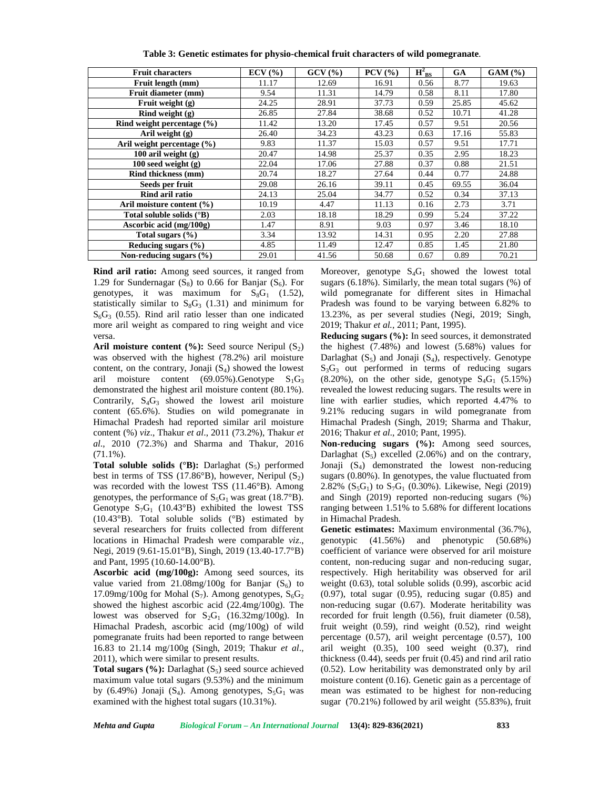| <b>Fruit characters</b>             | $ECV$ (%) | GCV(%) | $PCV$ $(\frac{9}{6})$ | $H_{BS}^2$ | <b>GA</b> | $GAM$ $%$ |
|-------------------------------------|-----------|--------|-----------------------|------------|-----------|-----------|
| Fruit length (mm)                   | 11.17     | 12.69  | 16.91                 | 0.56       | 8.77      | 19.63     |
| Fruit diameter (mm)                 | 9.54      | 11.31  | 14.79                 | 0.58       | 8.11      | 17.80     |
| Fruit weight (g)                    | 24.25     | 28.91  | 37.73                 | 0.59       | 25.85     | 45.62     |
| $\overline{\text{Rind weight}}$ (g) | 26.85     | 27.84  | 38.68                 | 0.52       | 10.71     | 41.28     |
| Rind weight percentage $(\% )$      | 11.42     | 13.20  | 17.45                 | 0.57       | 9.51      | 20.56     |
| Aril weight (g)                     | 26.40     | 34.23  | 43.23                 | 0.63       | 17.16     | 55.83     |
| Aril weight percentage (%)          | 9.83      | 11.37  | 15.03                 | 0.57       | 9.51      | 17.71     |
| 100 aril weight $(g)$               | 20.47     | 14.98  | 25.37                 | 0.35       | 2.95      | 18.23     |
| 100 seed weight $(g)$               | 22.04     | 17.06  | 27.88                 | 0.37       | 0.88      | 21.51     |
| Rind thickness (mm)                 | 20.74     | 18.27  | 27.64                 | 0.44       | 0.77      | 24.88     |
| Seeds per fruit                     | 29.08     | 26.16  | 39.11                 | 0.45       | 69.55     | 36.04     |
| Rind aril ratio                     | 24.13     | 25.04  | 34.77                 | 0.52       | 0.34      | 37.13     |
| Aril moisture content $(\% )$       | 10.19     | 4.47   | 11.13                 | 0.16       | 2.73      | 3.71      |
| Total soluble solids (°B)           | 2.03      | 18.18  | 18.29                 | 0.99       | 5.24      | 37.22     |
| Ascorbic acid (mg/100g)             | 1.47      | 8.91   | 9.03                  | 0.97       | 3.46      | 18.10     |
| Total sugars $(\% )$                | 3.34      | 13.92  | 14.31                 | 0.95       | 2.20      | 27.88     |
| Reducing sugars $(\% )$             | 4.85      | 11.49  | 12.47                 | 0.85       | 1.45      | 21.80     |
| Non-reducing sugars $(\% )$         | 29.01     | 41.56  | 50.68                 | 0.67       | 0.89      | 70.21     |

**Table 3: Genetic estimates for physio-chemical fruit characters of wild pomegranate***.*

**Rind aril ratio:** Among seed sources, it ranged from 1.29 for Sundernagar  $(S_8)$  to 0.66 for Banjar  $(S_6)$ . For genotypes, it was maximum for  $S_8G_1$  (1.52), statistically similar to  $S_8G_3$  (1.31) and minimum for  $S<sub>6</sub>G<sub>3</sub>$  (0.55). Rind aril ratio lesser than one indicated more aril weight as compared to ring weight and vice versa.

**Aril moisture content**  $(\% )$ **:** Seed source Neripul  $(S_2)$ was observed with the highest (78.2%) aril moisture content, on the contrary, Jonaji  $(S_4)$  showed the lowest aril moisture content  $(69.05\%)$ . Genotype  $S_1G_3$ demonstrated the highest aril moisture content (80.1%). Contrarily,  $S_4G_3$  showed the lowest aril moisture content (65.6%). Studies on wild pomegranate in Himachal Pradesh had reported similar aril moisture content (%) *viz*., Thakur *et al*., 2011 (73.2%), Thakur *et al*., 2010 (72.3%) and Sharma and Thakur, 2016  $(71.1\%)$ .

**Total soluble solids (** ${}^{\circ}$ **B):** Darlaghat ( $S_5$ ) performed best in terms of TSS (17.86 $\textdegree$ B), however, Neripul (S<sub>2</sub>) was recorded with the lowest TSS (11.46°B). Among genotypes, the performance of  $S_5G_1$  was great (18.7°B). Genotype  $S_7G_1$  (10.43°B) exhibited the lowest TSS (10.43°B). Total soluble solids (°B) estimated by several researchers for fruits collected from different locations in Himachal Pradesh were comparable *viz*., Negi, 2019 (9.61-15.01°B), Singh, 2019 (13.40-17.7°B) and Pant, 1995 (10.60-14.00°B).

**Ascorbic acid (mg/100g):** Among seed sources, its value varied from  $21.08$ mg/100g for Banjar  $(S_6)$  to 17.09mg/100g for Mohal  $(S_7)$ . Among genotypes,  $S_6G_2$ showed the highest ascorbic acid (22.4mg/100g). The lowest was observed for  $S_2G_1$  (16.32mg/100g). In Himachal Pradesh, ascorbic acid (mg/100g) of wild pomegranate fruits had been reported to range between 16.83 to 21.14 mg/100g (Singh, 2019; Thakur *et al*., 2011), which were similar to present results.

**Total sugars**  $(\%)$ **:** Darlaghat  $(S_5)$  seed source achieved maximum value total sugars (9.53%) and the minimum by (6.49%) Jonaji ( $S_4$ ). Among genotypes,  $S_5G_1$  was examined with the highest total sugars (10.31%).

Moreover, genotype  $S_4G_1$  showed the lowest total sugars (6.18%). Similarly, the mean total sugars (%) of wild pomegranate for different sites in Himachal Pradesh was found to be varying between 6.82% to 13.23%, as per several studies (Negi, 2019; Singh, 2019; Thakur *et al.,* 2011; Pant, 1995).

**Reducing sugars (%):** In seed sources, it demonstrated the highest (7.48%) and lowest (5.68%) values for Darlaghat  $(S_5)$  and Jonaji  $(S_4)$ , respectively. Genotype  $S_3G_3$  out performed in terms of reducing sugars  $(8.20\%)$ , on the other side, genotype  $S_4G_1$  (5.15%) revealed the lowest reducing sugars. The results were in line with earlier studies, which reported 4.47% to 9.21% reducing sugars in wild pomegranate from Himachal Pradesh (Singh, 2019; Sharma and Thakur, 2016; Thakur *et al*., 2010; Pant, 1995).

**Non-reducing sugars (%):** Among seed sources, Darlaghat  $(S_5)$  excelled  $(2.06%)$  and on the contrary, Jonaji  $(S_4)$  demonstrated the lowest non-reducing sugars (0.80%). In genotypes, the value fluctuated from 2.82%  $(S_5G_1)$  to  $S_7G_1$  (0.30%). Likewise, Negi (2019) and Singh (2019) reported non-reducing sugars (%) ranging between 1.51% to 5.68% for different locations in Himachal Pradesh.

**Genetic estimates:** Maximum environmental (36.7%), genotypic (41.56%) and phenotypic (50.68%) coefficient of variance were observed for aril moisture content, non-reducing sugar and non-reducing sugar, respectively. High heritability was observed for aril weight (0.63), total soluble solids (0.99), ascorbic acid  $(0.97)$ , total sugar  $(0.95)$ , reducing sugar  $(0.85)$  and non-reducing sugar (0.67). Moderate heritability was recorded for fruit length (0.56), fruit diameter (0.58), fruit weight (0.59), rind weight (0.52), rind weight percentage (0.57), aril weight percentage (0.57), 100 aril weight  $(0.35)$ , 100 seed weight  $(0.37)$ , rind thickness (0.44), seeds per fruit (0.45) and rind aril ratio (0.52). Low heritability was demonstrated only by aril moisture content (0.16). Genetic gain as a percentage of mean was estimated to be highest for non-reducing sugar (70.21%) followed by aril weight (55.83%), fruit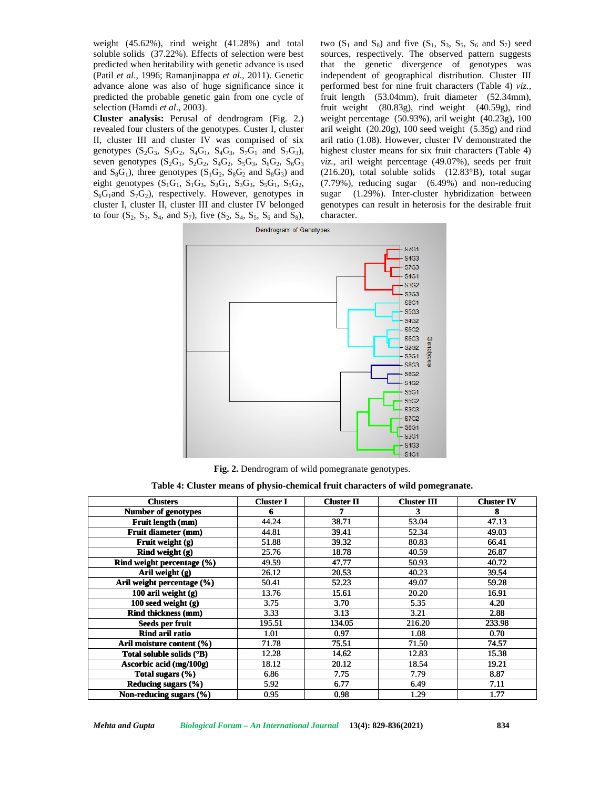

**Fig. 2.** Dendrogram of wild pomegranate genotypes.

**Table 4: Cluster means of physio-chemical fruit characters of wild pomegranate.**<br>Table 4: Cluster means of physio-chemical fruit characters of wild pomegranate.

| (Patil et al., 1996; Ramanjinappa et al., 2011). Genetic<br>advance alone was also of huge significance since it<br>predicted the probable genetic gain from one cycle of<br>selection (Hamdi et al., 2003).<br>Cluster analysis: Perusal of dendrogram (Fig. 2.)<br>revealed four clusters of the genotypes. Custer I, cluster<br>II, cluster III and cluster IV was comprised of six<br>genotypes $(S_2G_3, S_3G_2, S_4G_1, S_4G_3, S_7G_1$ and $S_7G_3$ ),<br>seven genotypes $(S_2G_1, S_2G_2, S_4G_2, S_5G_3, S_6G_2, S_6G_3)$<br>and $S_8G_1$ ), three genotypes ( $S_1G_2$ , $S_8G_2$ and $S_8G_3$ ) and<br>eight genotypes $(S_1G_1, S_1G_3, S_3G_1, S_3G_3, S_5G_1, S_5G_2,$<br>$S_6G_1$ and $S_7G_2$ ), respectively. However, genotypes in<br>cluster I, cluster II, cluster III and cluster IV belonged<br>to four $(S_2, S_3, S_4, and S_7)$ , five $(S_2, S_4, S_5, S_6, and S_8)$ , | soluble solids (37.22%). Effects of selection were best<br>predicted when heritability with genetic advance is used | sugar<br>character. | sources, respectively. The observed pattern suggests<br>that the genetic divergence of genotypes was<br>independent of geographical distribution. Cluster III<br>performed best for nine fruit characters (Table 4) viz.,<br>fruit length (53.04mm), fruit diameter (52.34mm),<br>fruit weight (80.83g), rind weight (40.59g), rind<br>weight percentage $(50.93\%)$ , aril weight $(40.23g)$ , 100<br>aril weight (20.20g), 100 seed weight (5.35g) and rind<br>aril ratio (1.08). However, cluster IV demonstrated the<br>highest cluster means for six fruit characters (Table 4)<br>viz., aril weight percentage (49.07%), seeds per fruit<br>$(216.20)$ , total soluble solids $(12.83°B)$ , total sugar<br>(7.79%), reducing sugar (6.49%) and non-reducing<br>(1.29%). Inter-cluster hybridization between<br>genotypes can result in heterosis for the desirable fruit |                           |
|----------------------------------------------------------------------------------------------------------------------------------------------------------------------------------------------------------------------------------------------------------------------------------------------------------------------------------------------------------------------------------------------------------------------------------------------------------------------------------------------------------------------------------------------------------------------------------------------------------------------------------------------------------------------------------------------------------------------------------------------------------------------------------------------------------------------------------------------------------------------------------------------------|---------------------------------------------------------------------------------------------------------------------|---------------------|--------------------------------------------------------------------------------------------------------------------------------------------------------------------------------------------------------------------------------------------------------------------------------------------------------------------------------------------------------------------------------------------------------------------------------------------------------------------------------------------------------------------------------------------------------------------------------------------------------------------------------------------------------------------------------------------------------------------------------------------------------------------------------------------------------------------------------------------------------------------------------|---------------------------|
|                                                                                                                                                                                                                                                                                                                                                                                                                                                                                                                                                                                                                                                                                                                                                                                                                                                                                                    | Dendrogram of Genotypes                                                                                             |                     |                                                                                                                                                                                                                                                                                                                                                                                                                                                                                                                                                                                                                                                                                                                                                                                                                                                                                |                           |
|                                                                                                                                                                                                                                                                                                                                                                                                                                                                                                                                                                                                                                                                                                                                                                                                                                                                                                    |                                                                                                                     |                     | <b>S4G3</b><br><b>S7G3</b><br><b>S4G1</b><br>8362<br>S2G3<br><b>S8C1</b><br><b>S5G3</b><br><b>S4G2</b><br><b>S6G2</b><br><b>S6C3</b><br>Genotypes<br><b>S2G2</b><br><b>S2G1</b><br><b>S8G3</b><br><b>S8G2</b><br><b>S1G2</b>                                                                                                                                                                                                                                                                                                                                                                                                                                                                                                                                                                                                                                                   |                           |
|                                                                                                                                                                                                                                                                                                                                                                                                                                                                                                                                                                                                                                                                                                                                                                                                                                                                                                    |                                                                                                                     |                     | <b>S5G1</b><br>S5G2<br>S3G3<br>S7C2<br><b>S6G1</b><br><b>S3G1</b><br>S <sub>1</sub> G <sub>3</sub>                                                                                                                                                                                                                                                                                                                                                                                                                                                                                                                                                                                                                                                                                                                                                                             |                           |
|                                                                                                                                                                                                                                                                                                                                                                                                                                                                                                                                                                                                                                                                                                                                                                                                                                                                                                    |                                                                                                                     |                     | <b>S1C1</b>                                                                                                                                                                                                                                                                                                                                                                                                                                                                                                                                                                                                                                                                                                                                                                                                                                                                    |                           |
|                                                                                                                                                                                                                                                                                                                                                                                                                                                                                                                                                                                                                                                                                                                                                                                                                                                                                                    | Fig. 2. Dendrogram of wild pomegranate genotypes.                                                                   |                     |                                                                                                                                                                                                                                                                                                                                                                                                                                                                                                                                                                                                                                                                                                                                                                                                                                                                                |                           |
| Table 4: Cluster means of physio-chemical fruit characters of wild pomegranate.                                                                                                                                                                                                                                                                                                                                                                                                                                                                                                                                                                                                                                                                                                                                                                                                                    |                                                                                                                     |                     |                                                                                                                                                                                                                                                                                                                                                                                                                                                                                                                                                                                                                                                                                                                                                                                                                                                                                |                           |
| <b>Clusters</b>                                                                                                                                                                                                                                                                                                                                                                                                                                                                                                                                                                                                                                                                                                                                                                                                                                                                                    | <b>Cluster I</b>                                                                                                    | <b>Cluster II</b>   | <b>Cluster III</b>                                                                                                                                                                                                                                                                                                                                                                                                                                                                                                                                                                                                                                                                                                                                                                                                                                                             | <b>Cluster IV</b>         |
| Number of genotypes                                                                                                                                                                                                                                                                                                                                                                                                                                                                                                                                                                                                                                                                                                                                                                                                                                                                                | 6                                                                                                                   | 7                   | 3                                                                                                                                                                                                                                                                                                                                                                                                                                                                                                                                                                                                                                                                                                                                                                                                                                                                              | 8                         |
| Fruit length (mm)                                                                                                                                                                                                                                                                                                                                                                                                                                                                                                                                                                                                                                                                                                                                                                                                                                                                                  | 44.24                                                                                                               | 38.71               | 53.04                                                                                                                                                                                                                                                                                                                                                                                                                                                                                                                                                                                                                                                                                                                                                                                                                                                                          | 47.13                     |
| Fruit diameter (mm)<br>Fruit weight (g)                                                                                                                                                                                                                                                                                                                                                                                                                                                                                                                                                                                                                                                                                                                                                                                                                                                            | 44.81<br>51.88                                                                                                      | 39.41<br>39.32      | 52.34<br>80.83                                                                                                                                                                                                                                                                                                                                                                                                                                                                                                                                                                                                                                                                                                                                                                                                                                                                 | 49.03<br>66.41            |
| Rind weight (g)                                                                                                                                                                                                                                                                                                                                                                                                                                                                                                                                                                                                                                                                                                                                                                                                                                                                                    | 25.76                                                                                                               | 18.78               | 40.59                                                                                                                                                                                                                                                                                                                                                                                                                                                                                                                                                                                                                                                                                                                                                                                                                                                                          | 26.87                     |
| Rind weight percentage (%)                                                                                                                                                                                                                                                                                                                                                                                                                                                                                                                                                                                                                                                                                                                                                                                                                                                                         | 49.59                                                                                                               | 47.77               | 50.93                                                                                                                                                                                                                                                                                                                                                                                                                                                                                                                                                                                                                                                                                                                                                                                                                                                                          | 40.72                     |
| Aril weight (g)                                                                                                                                                                                                                                                                                                                                                                                                                                                                                                                                                                                                                                                                                                                                                                                                                                                                                    | 26.12                                                                                                               | 20.53               | 40.23                                                                                                                                                                                                                                                                                                                                                                                                                                                                                                                                                                                                                                                                                                                                                                                                                                                                          | 39.54                     |
| Aril weight percentage (%)                                                                                                                                                                                                                                                                                                                                                                                                                                                                                                                                                                                                                                                                                                                                                                                                                                                                         | 50.41                                                                                                               | 52.23               | 49.07                                                                                                                                                                                                                                                                                                                                                                                                                                                                                                                                                                                                                                                                                                                                                                                                                                                                          | 59.28                     |
| 100 aril weight $(g)$                                                                                                                                                                                                                                                                                                                                                                                                                                                                                                                                                                                                                                                                                                                                                                                                                                                                              | 13.76                                                                                                               | 15.61               | 20.20                                                                                                                                                                                                                                                                                                                                                                                                                                                                                                                                                                                                                                                                                                                                                                                                                                                                          | 16.91                     |
| 100 seed weight (g)                                                                                                                                                                                                                                                                                                                                                                                                                                                                                                                                                                                                                                                                                                                                                                                                                                                                                | 3.75                                                                                                                | $\overline{3.70}$   | 5.35                                                                                                                                                                                                                                                                                                                                                                                                                                                                                                                                                                                                                                                                                                                                                                                                                                                                           | 4.20                      |
| <b>Rind thickness (mm)</b>                                                                                                                                                                                                                                                                                                                                                                                                                                                                                                                                                                                                                                                                                                                                                                                                                                                                         | 3.33                                                                                                                | 3.13                | 3.21                                                                                                                                                                                                                                                                                                                                                                                                                                                                                                                                                                                                                                                                                                                                                                                                                                                                           | 2.88                      |
| Seeds per fruit                                                                                                                                                                                                                                                                                                                                                                                                                                                                                                                                                                                                                                                                                                                                                                                                                                                                                    | 195.51                                                                                                              | 134.05              | 216.20                                                                                                                                                                                                                                                                                                                                                                                                                                                                                                                                                                                                                                                                                                                                                                                                                                                                         | 233.98                    |
| <b>Rind aril ratio</b>                                                                                                                                                                                                                                                                                                                                                                                                                                                                                                                                                                                                                                                                                                                                                                                                                                                                             | 1.01                                                                                                                | 0.97                | 1.08                                                                                                                                                                                                                                                                                                                                                                                                                                                                                                                                                                                                                                                                                                                                                                                                                                                                           | 0.70                      |
| Aril moisture content (%)                                                                                                                                                                                                                                                                                                                                                                                                                                                                                                                                                                                                                                                                                                                                                                                                                                                                          | 71.78                                                                                                               | 75.51               | 71.50                                                                                                                                                                                                                                                                                                                                                                                                                                                                                                                                                                                                                                                                                                                                                                                                                                                                          | 74.57                     |
| Total soluble solids (°B)                                                                                                                                                                                                                                                                                                                                                                                                                                                                                                                                                                                                                                                                                                                                                                                                                                                                          | 12.28                                                                                                               | 14.62               | 12.83                                                                                                                                                                                                                                                                                                                                                                                                                                                                                                                                                                                                                                                                                                                                                                                                                                                                          | 15.38                     |
| Ascorbic acid (mg/100g)                                                                                                                                                                                                                                                                                                                                                                                                                                                                                                                                                                                                                                                                                                                                                                                                                                                                            | 18.12                                                                                                               | 20.12               | 18.54                                                                                                                                                                                                                                                                                                                                                                                                                                                                                                                                                                                                                                                                                                                                                                                                                                                                          | 19.21                     |
| Total sugars (%)                                                                                                                                                                                                                                                                                                                                                                                                                                                                                                                                                                                                                                                                                                                                                                                                                                                                                   | 6.86                                                                                                                | 7.75                | 7.79                                                                                                                                                                                                                                                                                                                                                                                                                                                                                                                                                                                                                                                                                                                                                                                                                                                                           | 8.87                      |
| Reducing sugars (%)<br>Non-reducing sugars (%)                                                                                                                                                                                                                                                                                                                                                                                                                                                                                                                                                                                                                                                                                                                                                                                                                                                     | $\overline{5.92}$<br>0.95                                                                                           | 6.77<br>0.98        | 6.49<br>1.29                                                                                                                                                                                                                                                                                                                                                                                                                                                                                                                                                                                                                                                                                                                                                                                                                                                                   | 7.11<br>$\overline{1.77}$ |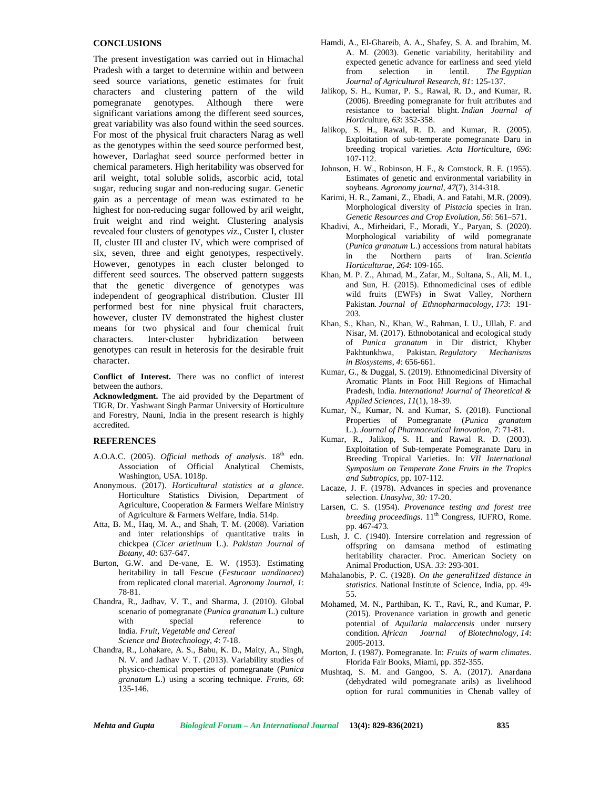# **CONCLUSIONS**

The present investigation was carried out in Himachal Pradesh with a target to determine within and between seed source variations, genetic estimates for fruit characters and clustering pattern of the wild pomegranate genotypes. Although there were significant variations among the different seed sources, great variability was also found within the seed sources. For most of the physical fruit characters Narag as well as the genotypes within the seed source performed best, however, Darlaghat seed source performed better in chemical parameters. High heritability was observed for aril weight, total soluble solids, ascorbic acid, total sugar, reducing sugar and non-reducing sugar. Genetic gain as a percentage of mean was estimated to be highest for non-reducing sugar followed by aril weight, fruit weight and rind weight. Clustering analysis revealed four clusters of genotypes *viz*., Custer I, cluster II, cluster III and cluster IV, which were comprised of six, seven, three and eight genotypes, respectively. However, genotypes in each cluster belonged to different seed sources. The observed pattern suggests that the genetic divergence of genotypes was independent of geographical distribution. Cluster III performed best for nine physical fruit characters, however, cluster IV demonstrated the highest cluster means for two physical and four chemical fruit characters. Inter-cluster hybridization between genotypes can result in heterosis for the desirable fruit character.

**Conflict of Interest.** There was no conflict of interest between the authors.

**Acknowledgment.** The aid provided by the Department of TIGR, Dr. Yashwant Singh Parmar University of Horticulture and Forestry, Nauni, India in the present research is highly accredited.

#### **REFERENCES**

- A.O.A.C. (2005). *Official methods of analysis*. 18th edn. Association of Official Analytical Chemists, Washington, USA. 1018p.
- Anonymous. (2017). *Horticultural statistics at a glance*. Horticulture Statistics Division, Department of Agriculture, Cooperation & Farmers Welfare Ministry of Agriculture & Farmers Welfare, India. 514p.
- Atta, B. M., Haq, M. A., and Shah, T. M. (2008). Variation and inter relationships of quantitative traits in chickpea (*Cicer arietinum* L.). *Pakistan Journal of Botany*, *40*: 637-647.
- Burton, G.W. and De-vane, E. W. (1953). Estimating heritability in tall Fescue (*Festucaar uandinacea*) from replicated clonal material. *Agronomy Journal, 1*: 78-81.
- Chandra, R., Jadhav, V. T., and Sharma, J. (2010). Global scenario of pomegranate (*Punica granatum* L.) culture with special reference to India. *Fruit, Vegetable and Cereal Science and Biotechnology*, *4*: 7-18.
- Chandra, R., Lohakare, A. S., Babu, K. D., Maity, A., Singh, N. V. and Jadhav V. T. (2013). Variability studies of physico-chemical properties of pomegranate (*Punica granatum* L.) using a scoring technique. *Fruits, 68*: 135-146.
- Hamdi, A., El-Ghareib, A. A., Shafey, S. A. and Ibrahim, M. A. M. (2003). Genetic variability, heritability and expected genetic advance for earliness and seed yield<br>from selection in lentil. The Egyptian from selection in lentil. *Journal of Agricultural Research*, *81*: 125-137.
- Jalikop, S. H., Kumar, P. S., Rawal, R. D., and Kumar, R. (2006). Breeding pomegranate for fruit attributes and resistance to bacterial blight. *Indian Journal of Hortic*ulture, *63*: 352-358.
- Jalikop, S. H., Rawal, R. D. and Kumar, R. (2005). Exploitation of sub-temperate pomegranate Daru in breeding tropical varieties. *Acta Hortic*ulture, *696*: 107-112.
- Johnson, H. W., Robinson, H. F., & Comstock, R. E. (1955). Estimates of genetic and environmental variability in soybeans. *Agronomy journal*, *47*(7), 314-318.
- Karimi, H. R., Zamani, Z., Ebadi, A. and Fatahi, M.R. (2009). Morphological diversity of *Pistacia* species in Iran. *Genetic Resources and Crop Evolution*, *56*: 561–571.
- Khadivi, A., Mirheidari, F., Moradi, Y., Paryan, S. (2020). Morphological variability of wild pomegranate (*Punica granatum* L.) accessions from natural habitats in the Northern parts of Iran. *Scientia Horticulturae, 264*: 109-165.
- Khan, M. P. Z., Ahmad, M., Zafar, M., Sultana, S., Ali, M. I., and Sun, H. (2015). Ethnomedicinal uses of edible wild fruits (EWFs) in Swat Valley, Northern Pakistan. *Journal of Ethnopharmacology, 173*: 191- 203.
- Khan, S., Khan, N., Khan, W., Rahman, I. U., Ullah, F. and Nisar, M. (2017). Ethnobotanical and ecological study of *Punica granatum* in Dir district, Khyber Pakhtunkhwa, Pakistan*. Regulatory Mechanisms in Biosystems*, *4*: 656-661.
- Kumar, G., & Duggal, S. (2019). Ethnomedicinal Diversity of Aromatic Plants in Foot Hill Regions of Himachal Pradesh, India. *International Journal of Theoretical & Applied Sciences*, *11*(1), 18-39.
- Kumar, N., Kumar, N. and Kumar, S. (2018). Functional Properties of Pomegranate (*Punica granatum* L.). *Journal of Pharmaceutical Innovation*, *7*: 71-81.
- Kumar, R., Jalikop, S. H. and Rawal R. D. (2003). Exploitation of Sub-temperate Pomegranate Daru in Breeding Tropical Varieties. In: *VII International Symposium on Temperate Zone Fruits in the Tropics and Subtropics,* pp*.* 107-112.
- Lacaze, J. F. (1978). Advances in species and provenance selection. *Unasylva*, *30:* 17-20.
- Larsen, C. S. (1954). *Provenance testing and forest tree breeding proceedings*. 11<sup>th</sup> Congress, IUFRO, Rome. pp. 467-473.
- Lush, J. C. (1940). Intersire correlation and regression of offspring on damsana method of estimating heritability character. Proc. American Society on Animal Production*,* USA*. 33*: 293-301.
- Mahalanobis, P. C. (1928). *On the generali1zed distance in statistics.* National Institute of Science, India, pp. 49- 55.
- Mohamed, M. N., Parthiban, K. T., Ravi, R., and Kumar, P. (2015). Provenance variation in growth and genetic potential of *Aquilaria malaccensis* under nursery condition. *African Journal of Biotechnology*, *14*: 2005-2013.
- Morton, J. (1987). Pomegranate. In: *Fruits of warm climates*. Florida Fair Books, Miami, pp. 352-355.
- Mushtaq, S. M. and Gangoo, S. A. (2017). Anardana (dehydrated wild pomegranate arils) as livelihood option for rural communities in Chenab valley of